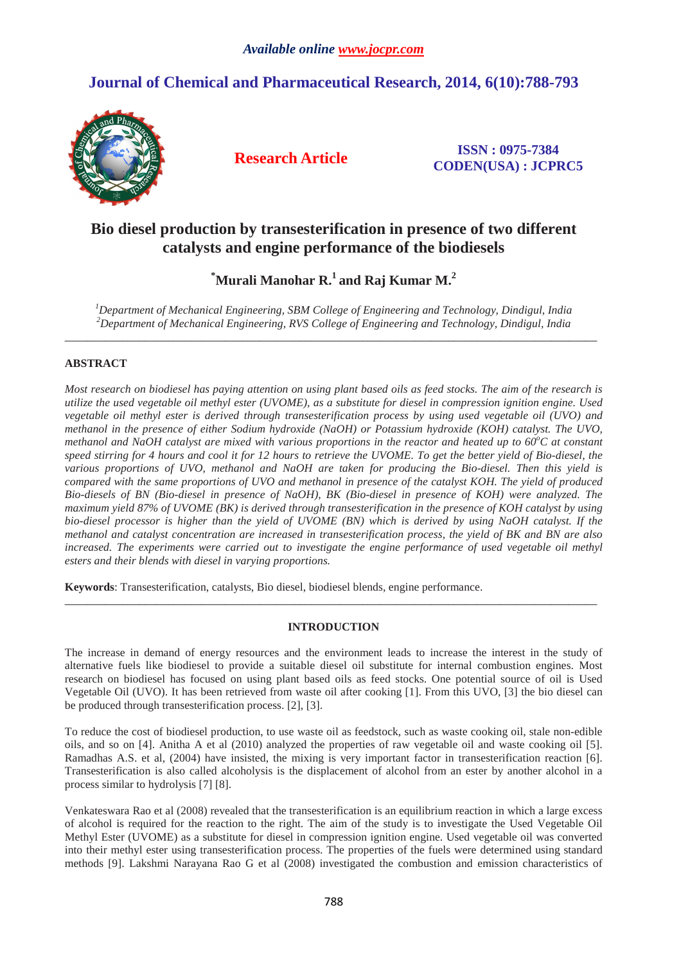# **Journal of Chemical and Pharmaceutical Research, 2014, 6(10):788-793**



**Research Article ISSN : 0975-7384 CODEN(USA) : JCPRC5**

# **Bio diesel production by transesterification in presence of two different catalysts and engine performance of the biodiesels**

**\*Murali Manohar R.<sup>1</sup>and Raj Kumar M.<sup>2</sup>**

*<sup>1</sup>Department of Mechanical Engineering, SBM College of Engineering and Technology, Dindigul, India <sup>2</sup>Department of Mechanical Engineering, RVS College of Engineering and Technology, Dindigul, India*   $\overline{a}$  , and the state of the state of the state of the state of the state of the state of the state of the state of the state of the state of the state of the state of the state of the state of the state of the state o

# **ABSTRACT**

*Most research on biodiesel has paying attention on using plant based oils as feed stocks. The aim of the research is utilize the used vegetable oil methyl ester (UVOME), as a substitute for diesel in compression ignition engine. Used vegetable oil methyl ester is derived through transesterification process by using used vegetable oil (UVO) and methanol in the presence of either Sodium hydroxide (NaOH) or Potassium hydroxide (KOH) catalyst. The UVO, methanol and NaOH catalyst are mixed with various proportions in the reactor and heated up to 60<sup>o</sup>C at constant speed stirring for 4 hours and cool it for 12 hours to retrieve the UVOME. To get the better yield of Bio-diesel, the various proportions of UVO, methanol and NaOH are taken for producing the Bio-diesel. Then this yield is compared with the same proportions of UVO and methanol in presence of the catalyst KOH. The yield of produced Bio-diesels of BN (Bio-diesel in presence of NaOH), BK (Bio-diesel in presence of KOH) were analyzed. The maximum yield 87% of UVOME (BK) is derived through transesterification in the presence of KOH catalyst by using bio-diesel processor is higher than the yield of UVOME (BN) which is derived by using NaOH catalyst. If the methanol and catalyst concentration are increased in transesterification process, the yield of BK and BN are also*  increased. The experiments were carried out to investigate the engine performance of used vegetable oil methyl *esters and their blends with diesel in varying proportions.* 

**Keywords**: Transesterification, catalysts, Bio diesel, biodiesel blends, engine performance.

# **INTRODUCTION**

\_\_\_\_\_\_\_\_\_\_\_\_\_\_\_\_\_\_\_\_\_\_\_\_\_\_\_\_\_\_\_\_\_\_\_\_\_\_\_\_\_\_\_\_\_\_\_\_\_\_\_\_\_\_\_\_\_\_\_\_\_\_\_\_\_\_\_\_\_\_\_\_\_\_\_\_\_\_\_\_\_\_\_\_\_\_\_\_\_\_\_\_\_

The increase in demand of energy resources and the environment leads to increase the interest in the study of alternative fuels like biodiesel to provide a suitable diesel oil substitute for internal combustion engines. Most research on biodiesel has focused on using plant based oils as feed stocks. One potential source of oil is Used Vegetable Oil (UVO). It has been retrieved from waste oil after cooking [1]. From this UVO, [3] the bio diesel can be produced through transesterification process. [2], [3].

To reduce the cost of biodiesel production, to use waste oil as feedstock, such as waste cooking oil, stale non-edible oils, and so on [4]. Anitha A et al (2010) analyzed the properties of raw vegetable oil and waste cooking oil [5]. Ramadhas A.S. et al, (2004) have insisted, the mixing is very important factor in transesterification reaction [6]. Transesterification is also called alcoholysis is the displacement of alcohol from an ester by another alcohol in a process similar to hydrolysis [7] [8].

Venkateswara Rao et al (2008) revealed that the transesterification is an equilibrium reaction in which a large excess of alcohol is required for the reaction to the right. The aim of the study is to investigate the Used Vegetable Oil Methyl Ester (UVOME) as a substitute for diesel in compression ignition engine. Used vegetable oil was converted into their methyl ester using transesterification process. The properties of the fuels were determined using standard methods [9]. Lakshmi Narayana Rao G et al (2008) investigated the combustion and emission characteristics of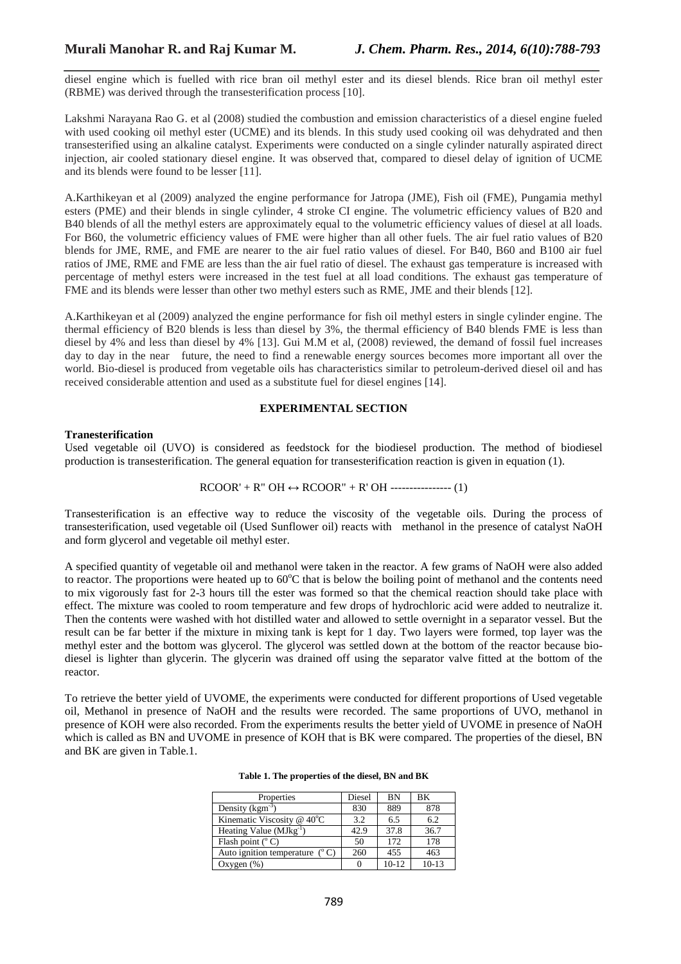*\_\_\_\_\_\_\_\_\_\_\_\_\_\_\_\_\_\_\_\_\_\_\_\_\_\_\_\_\_\_\_\_\_\_\_\_\_\_\_\_\_\_\_\_\_\_\_\_\_\_\_\_\_\_\_\_\_\_\_\_\_\_\_\_\_\_\_\_\_\_\_\_\_\_\_\_\_\_* diesel engine which is fuelled with rice bran oil methyl ester and its diesel blends. Rice bran oil methyl ester (RBME) was derived through the transesterification process [10].

Lakshmi Narayana Rao G. et al (2008) studied the combustion and emission characteristics of a diesel engine fueled with used cooking oil methyl ester (UCME) and its blends. In this study used cooking oil was dehydrated and then transesterified using an alkaline catalyst. Experiments were conducted on a single cylinder naturally aspirated direct injection, air cooled stationary diesel engine. It was observed that, compared to diesel delay of ignition of UCME and its blends were found to be lesser [11].

A.Karthikeyan et al (2009) analyzed the engine performance for Jatropa (JME), Fish oil (FME), Pungamia methyl esters (PME) and their blends in single cylinder, 4 stroke CI engine. The volumetric efficiency values of B20 and B40 blends of all the methyl esters are approximately equal to the volumetric efficiency values of diesel at all loads. For B60, the volumetric efficiency values of FME were higher than all other fuels. The air fuel ratio values of B20 blends for JME, RME, and FME are nearer to the air fuel ratio values of diesel. For B40, B60 and B100 air fuel ratios of JME, RME and FME are less than the air fuel ratio of diesel. The exhaust gas temperature is increased with percentage of methyl esters were increased in the test fuel at all load conditions. The exhaust gas temperature of FME and its blends were lesser than other two methyl esters such as RME, JME and their blends [12].

A.Karthikeyan et al (2009) analyzed the engine performance for fish oil methyl esters in single cylinder engine. The thermal efficiency of B20 blends is less than diesel by 3%, the thermal efficiency of B40 blends FME is less than diesel by 4% and less than diesel by 4% [13]. Gui M.M et al, (2008) reviewed, the demand of fossil fuel increases day to day in the near future, the need to find a renewable energy sources becomes more important all over the world. Bio-diesel is produced from vegetable oils has characteristics similar to petroleum-derived diesel oil and has received considerable attention and used as a substitute fuel for diesel engines [14].

# **EXPERIMENTAL SECTION**

## **Tranesterification**

Used vegetable oil (UVO) is considered as feedstock for the biodiesel production. The method of biodiesel production is transesterification. The general equation for transesterification reaction is given in equation (1).

$$
RCOOR' + R'' OH \leftrightarrow RCOOR'' + R' OH
$$

Transesterification is an effective way to reduce the viscosity of the vegetable oils. During the process of transesterification, used vegetable oil (Used Sunflower oil) reacts with methanol in the presence of catalyst NaOH and form glycerol and vegetable oil methyl ester.

A specified quantity of vegetable oil and methanol were taken in the reactor. A few grams of NaOH were also added to reactor. The proportions were heated up to  $60^{\circ}$ C that is below the boiling point of methanol and the contents need to mix vigorously fast for 2-3 hours till the ester was formed so that the chemical reaction should take place with effect. The mixture was cooled to room temperature and few drops of hydrochloric acid were added to neutralize it. Then the contents were washed with hot distilled water and allowed to settle overnight in a separator vessel. But the result can be far better if the mixture in mixing tank is kept for 1 day. Two layers were formed, top layer was the methyl ester and the bottom was glycerol. The glycerol was settled down at the bottom of the reactor because biodiesel is lighter than glycerin. The glycerin was drained off using the separator valve fitted at the bottom of the reactor.

To retrieve the better yield of UVOME, the experiments were conducted for different proportions of Used vegetable oil, Methanol in presence of NaOH and the results were recorded. The same proportions of UVO, methanol in presence of KOH were also recorded. From the experiments results the better yield of UVOME in presence of NaOH which is called as BN and UVOME in presence of KOH that is BK were compared. The properties of the diesel, BN and BK are given in Table.1.

| Properties                              | Diesel   | <b>BN</b> | BK      |
|-----------------------------------------|----------|-----------|---------|
| Density $(kgm-3)$                       | 830      | 889       | 878     |
| Kinematic Viscosity @ 40°C              | 3.2      | 6.5       | 6.2     |
| Heating Value $(MJkg^{-1})$             | 42.9     | 37.8      | 36.7    |
| Flash point $(^{\circ}C)$               | 50       | 172       | 178     |
| Auto ignition temperature $(^{\circ}C)$ | 260      | 455       | 463     |
| Oxygen $(\%)$                           | $\Omega$ | $10-12$   | $10-13$ |

|  |  |  | Table 1. The properties of the diesel, BN and BK |
|--|--|--|--------------------------------------------------|
|--|--|--|--------------------------------------------------|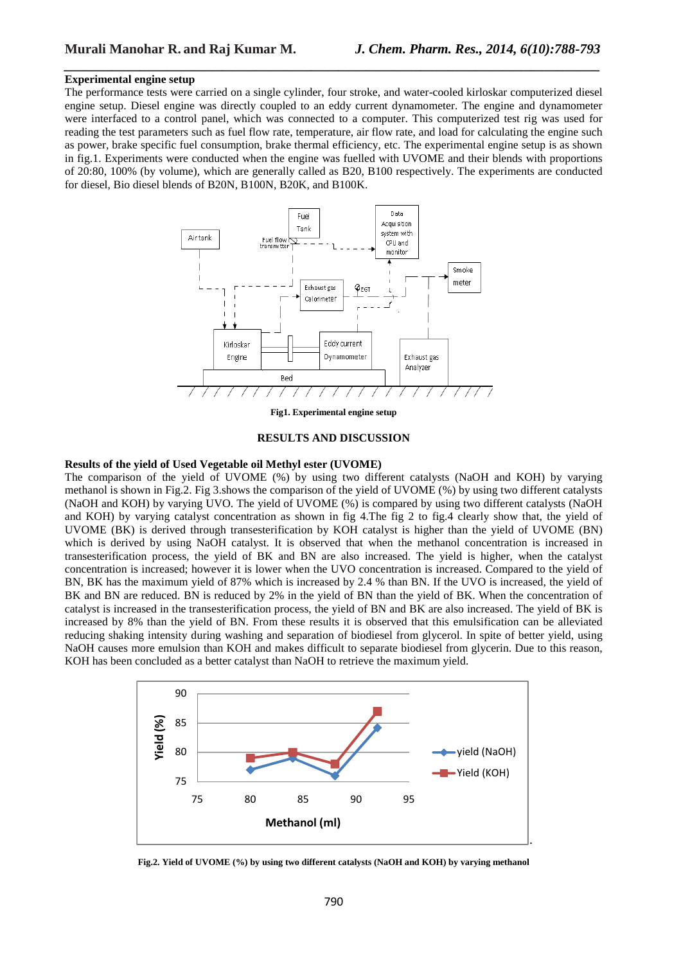## **Experimental engine setup**

The performance tests were carried on a single cylinder, four stroke, and water-cooled kirloskar computerized diesel engine setup. Diesel engine was directly coupled to an eddy current dynamometer. The engine and dynamometer were interfaced to a control panel, which was connected to a computer. This computerized test rig was used for reading the test parameters such as fuel flow rate, temperature, air flow rate, and load for calculating the engine such as power, brake specific fuel consumption, brake thermal efficiency, etc. The experimental engine setup is as shown in fig.1. Experiments were conducted when the engine was fuelled with UVOME and their blends with proportions of 20:80, 100% (by volume), which are generally called as B20, B100 respectively. The experiments are conducted for diesel, Bio diesel blends of B20N, B100N, B20K, and B100K.

*\_\_\_\_\_\_\_\_\_\_\_\_\_\_\_\_\_\_\_\_\_\_\_\_\_\_\_\_\_\_\_\_\_\_\_\_\_\_\_\_\_\_\_\_\_\_\_\_\_\_\_\_\_\_\_\_\_\_\_\_\_\_\_\_\_\_\_\_\_\_\_\_\_\_\_\_\_\_*



**Fig1. Experimental engine setup** 

#### **RESULTS AND DISCUSSION**

# **Results of the yield of Used Vegetable oil Methyl ester (UVOME)**

The comparison of the yield of UVOME (%) by using two different catalysts (NaOH and KOH) by varying methanol is shown in Fig.2. Fig 3.shows the comparison of the yield of UVOME (%) by using two different catalysts (NaOH and KOH) by varying UVO. The yield of UVOME (%) is compared by using two different catalysts (NaOH and KOH) by varying catalyst concentration as shown in fig 4.The fig 2 to fig.4 clearly show that, the yield of UVOME (BK) is derived through transesterification by KOH catalyst is higher than the yield of UVOME (BN) which is derived by using NaOH catalyst. It is observed that when the methanol concentration is increased in transesterification process, the yield of BK and BN are also increased. The yield is higher, when the catalyst concentration is increased; however it is lower when the UVO concentration is increased. Compared to the yield of BN, BK has the maximum yield of 87% which is increased by 2.4 % than BN. If the UVO is increased, the yield of BK and BN are reduced. BN is reduced by 2% in the yield of BN than the yield of BK. When the concentration of catalyst is increased in the transesterification process, the yield of BN and BK are also increased. The yield of BK is increased by 8% than the yield of BN. From these results it is observed that this emulsification can be alleviated reducing shaking intensity during washing and separation of biodiesel from glycerol. In spite of better yield, using NaOH causes more emulsion than KOH and makes difficult to separate biodiesel from glycerin. Due to this reason, KOH has been concluded as a better catalyst than NaOH to retrieve the maximum yield.



**Fig.2. Yield of UVOME (%) by using two different catalysts (NaOH and KOH) by varying methanol**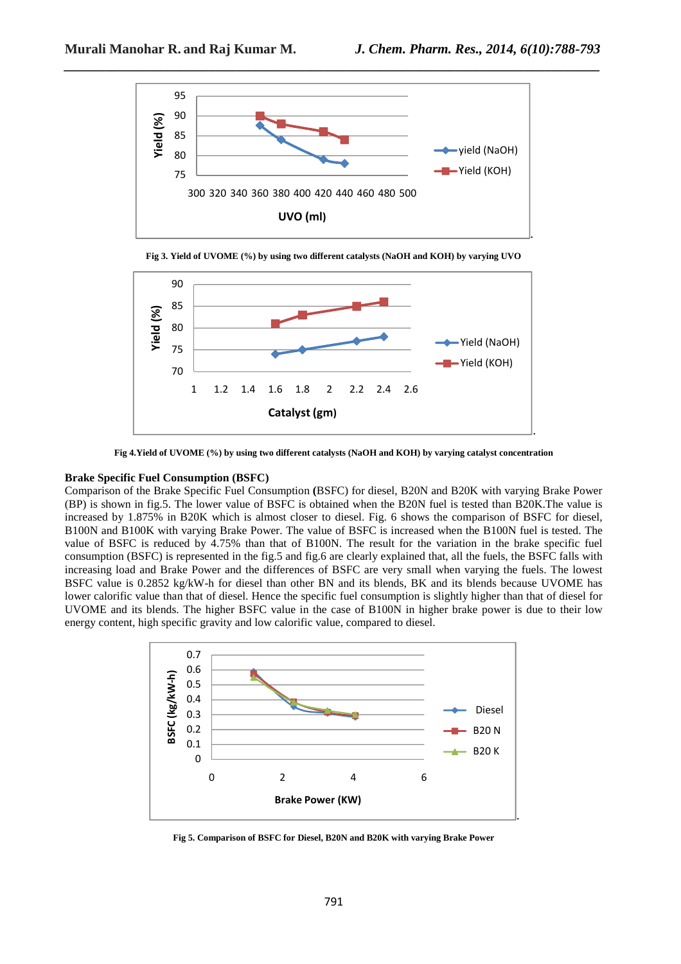





**Fig 4.Yield of UVOME (%) by using two different catalysts (NaOH and KOH) by varying catalyst concentration** 

### **Brake Specific Fuel Consumption (BSFC)**

Comparison of the Brake Specific Fuel Consumption **(**BSFC) for diesel, B20N and B20K with varying Brake Power (BP) is shown in fig.5. The lower value of BSFC is obtained when the B20N fuel is tested than B20K.The value is increased by 1.875% in B20K which is almost closer to diesel. Fig. 6 shows the comparison of BSFC for diesel, B100N and B100K with varying Brake Power. The value of BSFC is increased when the B100N fuel is tested. The value of BSFC is reduced by 4.75% than that of B100N. The result for the variation in the brake specific fuel consumption (BSFC) is represented in the fig.5 and fig.6 are clearly explained that, all the fuels, the BSFC falls with increasing load and Brake Power and the differences of BSFC are very small when varying the fuels. The lowest BSFC value is 0.2852 kg/kW-h for diesel than other BN and its blends, BK and its blends because UVOME has lower calorific value than that of diesel. Hence the specific fuel consumption is slightly higher than that of diesel for UVOME and its blends. The higher BSFC value in the case of B100N in higher brake power is due to their low energy content, high specific gravity and low calorific value, compared to diesel.



**Fig 5. Comparison of BSFC for Diesel, B20N and B20K with varying Brake Power**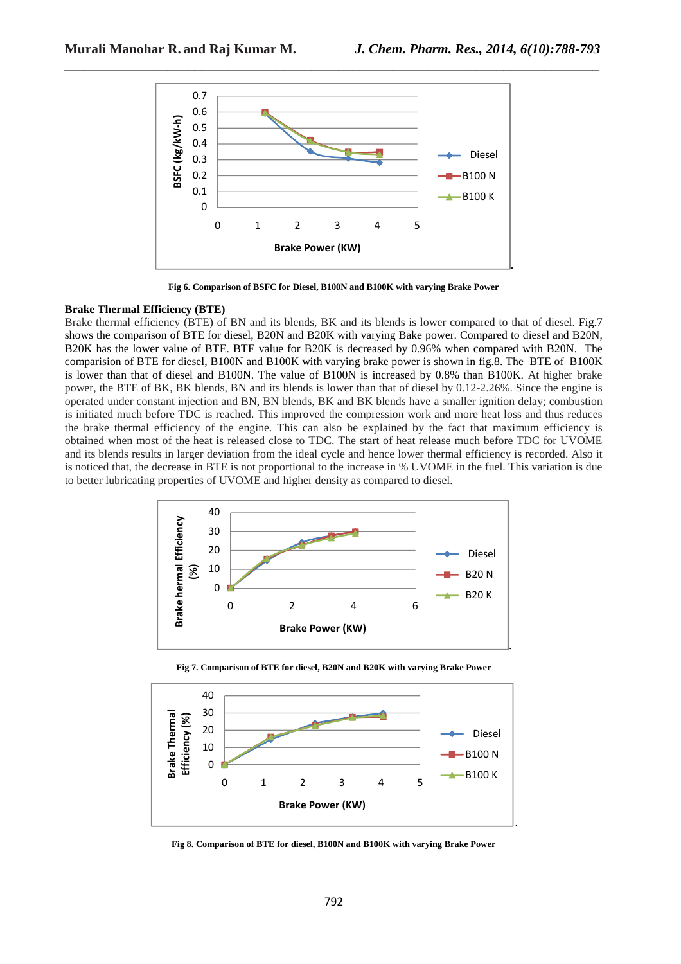

**Fig 6. Comparison of BSFC for Diesel, B100N and B100K with varying Brake Power** 

## **Brake Thermal Efficiency (BTE)**

Brake thermal efficiency (BTE) of BN and its blends, BK and its blends is lower compared to that of diesel. Fig.7 shows the comparison of BTE for diesel, B20N and B20K with varying Bake power. Compared to diesel and B20N, B20K has the lower value of BTE. BTE value for B20K is decreased by 0.96% when compared with B20N. The comparision of BTE for diesel, B100N and B100K with varying brake power is shown in fig.8. The BTE of B100K is lower than that of diesel and B100N. The value of B100N is increased by 0.8% than B100K. At higher brake power, the BTE of BK, BK blends, BN and its blends is lower than that of diesel by 0.12-2.26%. Since the engine is operated under constant injection and BN, BN blends, BK and BK blends have a smaller ignition delay; combustion is initiated much before TDC is reached. This improved the compression work and more heat loss and thus reduces the brake thermal efficiency of the engine. This can also be explained by the fact that maximum efficiency is obtained when most of the heat is released close to TDC. The start of heat release much before TDC for UVOME and its blends results in larger deviation from the ideal cycle and hence lower thermal efficiency is recorded. Also it is noticed that, the decrease in BTE is not proportional to the increase in % UVOME in the fuel. This variation is due to better lubricating properties of UVOME and higher density as compared to diesel.



**Fig 7. Comparison of BTE for diesel, B20N and B20K with varying Brake Power** 



**Fig 8. Comparison of BTE for diesel, B100N and B100K with varying Brake Power**